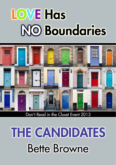# **LOVE Has NO Boundaries**



Don't Read in the Closet Event 2013

# **THE CANDIDATES Bette Browne**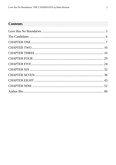# **Contents**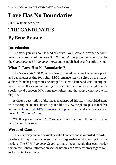# <span id="page-2-0"></span>**Love Has No Boundaries**

## *An M/M Romance series*

# **THE CANDIDATES**

# **By Bette Browne**

## **Introduction**

The story you are about to read celebrates love, sex and romance between men. It is a product of the *Love Has No Boundaries* promotion sponsored by the *Goodreads M/M Romance Group* and is published as a free gift to you.

## **What Is Love Has No Boundaries?**

The *Goodreads M/M Romance Group* invited members to choose a photo and pen a letter asking for a short M/M romance story inspired by the image; authors from the group were encouraged to select a letter and write an original tale. The result was an outpouring of creativity that shone a spotlight on the special bond between M/M romance writers and the people who love what they do.

A written description of the image that inspired this story is provided along with the original request letter. If you'd like to view the photo, please feel free to join the [Goodreads M/M Romance Group](http://www.goodreads.com/group/show/20149-m-m-romance) and visit the discussion section: *Love Has No Boundaries*.

Whether you are an avid M/M romance reader or new to the genre, you are in for a delicious treat.

## **Words of Caution**

This story may contain sexually explicit content and is **intended for adult readers.** It may contain content that is disagreeable or distressing to some readers. The *M/M Romance Group* strongly recommends that each reader review the General Information section before each story for story tags as well as for content warnings.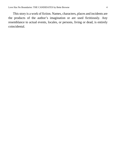This story is a work of fiction. Names, characters, places and incidents are the products of the author's imagination or are used fictitiously. Any resemblance to actual events, locales, or persons, living or dead, is entirely coincidental.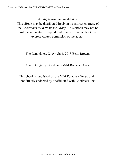All rights reserved worldwide.

This eBook may be distributed freely in its entirety courtesy of the *Goodreads M/M Romance Group*. This eBook may not be sold, manipulated or reproduced in any format without the express written permission of the author.

The Candidates, Copyright © 2013 Bette Browne

Cover Design by Goodreads M/M Romance Group

This ebook is published by the *M/M Romance Group* and is not directly endorsed by or affiliated with Goodreads Inc.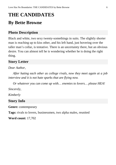# <span id="page-5-0"></span>**THE CANDIDATES By Bette Browne**

## **Photo Description**

Black and white, two sexy twenty-somethings in suits. The slightly shorter man is reaching up to kiss other, and his left hand, just hovering over the taller man's collar, is tentative. There is an uncertainty there, but an obvious desire. You can almost tell he is wondering whether he is doing the right thing.

## **Story Letter**

## *Dear Author,*

*After hating each other as college rivals, now they meet again at a job interview and it is not hate sparks that are flying now.*

*Or whatever you can come up with… enemies to lovers… please HEA!*

*Sincerely,*

*Kimberly*

## **Story Info**

**Genre:** contemporary

**Tags:** rivals to lovers, businessmen, two alpha males, reunited

**Word count:** 17,702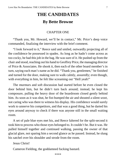# **THE CANDIDATES By Bette Browne**

#### CHAPTER ONE

<span id="page-6-0"></span>"Thank you, Mr. Howard, we'll be in contact," Mr. Price's deep voice commanded, finalizing the interview with the brief comment.

"I look forward to it," Reece said and smiled, outwardly projecting all of the confidence he possessed in spades. As long as he hadn't come across as too cocky, he had this job in the bag. He was sure of it. He pushed up from the chair and stood, reaching out his hand to Geoffrey Price, the managing director of Price & Associates. He shook it, then each of the other board member's in turn, saying each man's name as he did. "Thank you, gentlemen," he finished and turned for the door, making sure to walk calmly, assuredly; even though, with everything in him, he felt like screaming out "Hell yeah!"

The murmurs and soft discussion had started before he even closed the door behind him, but he didn't turn back around; instead, he kept his composure, pulling the heavy door of the boardroom closed gently behind him. As soon as it was shut, he fist-bumped the air and shouted a silent *woot*, not caring who was there to witness his display. His confidence would surely work to unnerve his competitors, and that was a good thing, but he darted his eyes around anyway to check if there was anyone still in the small waiting room.

A set of pale blue eyes met his, and Reece faltered for the split-second it took him to process who those eyes belonged to. It couldn't be. But it was. He pulled himself together and continued walking, passing the owner of that glacial glare, not sparing him a second glance as he passed. Instead, he slung his satchel over his shoulder and strode from the room.

Jesus Christ!

Cameron Fielding, the goddamned fucking bastard.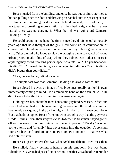Reece hurried from the building, and once he was out of sight, stormed to his car, pulling open the door and throwing his satchel onto the passenger seat. He climbed in, slamming the door closed behind him and just… sat there, his heartbeat and breathing more erratic than they had a right to be. He was rattled, there was no denying it. What the hell was going on? Cameron Fielding? Really?

He could count on one hand the times since they'd left school almost six years ago that he'd thought of the guy. He'd come up in conversation, of course, but only when he ran into other alumni they'd both gone to school with. Other alumni who loved to play the bragging game so typical of young urban professionals—lots of crap where they rubbed each other's noses in anything they could, spouting person-specific taunts like: "Did you hear about Fielding?" or "I heard Fielding got a choice job in Baltimore," or "Fielding's dick's bigger than your dick…"

Okay, he was being ridiculous now.

The simple fact was that Cameron Fielding had always rattled him.

Reece closed his eyes, an image of ice blue ones, totally unlike his own, immediately coming to mind. He slammed his hand on the dash. "Fuck!" He didn't want to be thinking of Fielding's eyes—never again.

Fielding was hot, about the most handsome guy he'd everseen, in fact, and Reece had never had a problem admitting that—even if those admissions had been made very quietly in the dark of night in his dorm, in his own bed, alone. But that hadn't stopped Reece from knowing straight away that the guy was a Grade-A prick. From their very first class together as freshmen, they'd gotten off on the wrong foot, and things had never improved. "Rivalry" was too polite a term, and "friendly" just never came into the equation. A constant four-year back-and-forth of "one and two" or "two and one"—that was what had defined them.

Reece sat up straighter: That was what *had* defined them—then. Yes, then.

He smiled, finally getting a handle on his emotions. He was being ridiculous. Six years had passed since school, and that was a lot of water under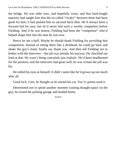the bridge. He was older now, and hopefully wiser, and that hard-fought maturity had taught him that the so-called "rivalry" between them had been good for him; it had pushed him to succeed back then. He'd always been a focused kid for sure, but he'd never had such a worthy competitor before Fielding. And if he was honest, Fielding had been the "competitor" who'd helped shape him into the man he was now.

Reece let out a huff. Maybe he should thank Fielding for providing that competition. Instead of sitting there like a dickhead, he could go back and shake the guy's hand, finally say thank you. And then tell Fielding not to bother with the interview—the job was already his anyway. He chuckled out loud at that. He wasn't being conceited, just realistic. He'd been headhunted for the position, and the interview had gone well; he was certain the job was his.

He rolled his eyes at himself. It didn't seem like he'd grown up too much after all.

*Good luck, Cam*, he thought as he started his car. *You're gonna need it*.

Determined not to spend another moment wasting thought-space on the guy, he exited the parking garage and headed home.

\*\*\*\*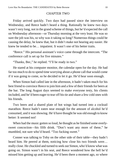#### CHAPTER TWO

<span id="page-9-0"></span>Friday arrived quickly. Two days had passed since the interview on Wednesday, and Reece hadn't heard a thing. Rationally he knew two days wasn't very long, not in the grand scheme of things, but he'd expected the call on Wednesday afternoon—or Thursday morning at the very least. He was so sure the job was his, so why was it taking so long? Numerous things could be causing the delay, he knew that, but it didn't make not hearing any easier. He knew he tended to be… impatient. It wasn't one of his better traits.

"Reece." His personal assistant's voice came through the intercom. "The conference call is set up for five minutes."

"Thanks, Bec," he replied. "I'll be ready in two."

He stared at his computer monitor, the calendar open for the day. He had far too much to do to spend time worrying about a phone call that would come if it was going to come, so he decided to let it go. He'd hear soon enough.

When Simon had called late in the afternoon, it hadn't taken much for his best friend to convince Reece to join him and a few of their friends for beers at the bar. The long August days seemed to make everyone testy, his clients included, and he'd been eager to tear off his tie and share a few cold ones with his friends.

Two beers and a shared plate of hot wings had turned into a cocktail marathon. Reece hadn't eaten near enough for the amount of alcohol he'd consumed, and it was showing. He'd have thought he was old enough to know better: It seemed not!

When had the music gotten so loud, he thought as he finished some overlysweet concoction—his fifth drink. "Don't want any more of these," he mumbled, not sure who'd heard. "Too fucking sweet."

Conner was talking to Toby on the other side of their table—they hadn't heard him. He peered at them, noticing how close his two friends were… really close. He chuckled and turned to seek out Simon, who'd know what was going on. Simon wasn't in his seat, and Reece wondered how the hell he'd missed him getting up and leaving. He'd been there a moment ago, so where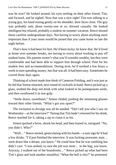was he now? He looked around, his eyes settling on their other friend, Tim, and focused, and he sighed. Now that was a nice sight! Tim was talking to a young guy, his hand resting gently on his shoulder, their faces close. The guy was probably only about twenty-one or so, dressed casually. He looked intelligent but relaxed, probably a student on summer vacation. Reece missed those carefree undergraduate days. Not having to worry about anything more important than if your mom would be pissed that you came home so late the night before.

That's how it had been for him. He'd been lucky; he knew that. He'd lived at home over summer breaks, not having to worry about working to pay off student loans. His parents weren't what you'd consider wealthy, but they were comfortable and had been able to support him through school. Paid for his student fees and accommodations. During term, he'd worked a few hours a week to earn spending money, but that was all. It had been easy. Sometimes he craved those days again.

Thinking of school made him think of Cameron Fielding, and it was just as he did that Simon returned, next round of cocktails in hand. Reece picked up a glass, studied the deep red drink with what looked to be pomegranate seeds, and then swallowed it in one gulp.

"Settle down, sweetheart," Simon chided, pushing the remaining glasses toward their other friends. "What's got you upset?"

The invitation to divulge was all he needed. "Did I tell you who I saw on Wednesday—at the interview?" Noting that Tim hadn't returned for his drink, Reece reached for it, taking a sip to claim it as his.

Simon quirked a brow, shook his head, and then leaned in, intrigued. "No, you didn't. Who?"

"Well…" Reece started, gesticulating with his hands—a sure sign he'd had a few drinks. "I'd just finished the interview. It was fucking awesome, man… went down like a dream, you know." He could hear that he was rambling but didn't care. "I was stoked, so sure the job was mine… in the bag, you know. Anyway, I walked out of the boardroom…" Reece picked up what had been Tim's glass and took another mouthful, "What the hell is this?" he protested.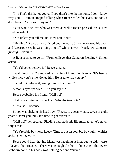"It's Tim's drink, not yours. If you didn't like the first one, I don't know why you—" Simon stopped talking when Reece rolled his eyes, and took a deep breath. "You were saying."

"You won't believe who was there as well." Reece pressed, his slurred words insistent.

"Not unless you tell me, no. Now spit it out."

"Fielding." Reece almost hissed out the word. Simon narrowed his eyes, and Reece guessed he was trying to recall who that was. "You know. Cameron" *fucking* Fielding."

A light seemed to go off. "From college, that Cameron Fielding?" Simon asked.

"You'd better believe it," Reece sneered.

"Well fancy that," Simon added, a hint of humor in his tone. "It's been a while since you've mentioned him. He used to rile you up."

"I couldn't believe it, seeing him in that room."

Simon's eyes sparkled. "Did you say hi?"

Reece eyeballed his friend. "Hell no!"

That caused Simon to chuckle. "Why the *hell* not?"

"Because… because…"

Simon was shaking his head now. "Reece, it's been what… seven or eight years? Don't you think it's time to get over it?"

"Hell no!" he repeated. Fielding had made his life miserable; he'd never forget that.

"You're a big boy now, Reecy. Time to put on your big boy tighty-whities and… Get. Over. It."

Reece could hear that his friend was laughing at him, but he didn't care. "Never!" he protested. There was enough alcohol in his system that every stubborn bone in his body was holding defiant. "Never!"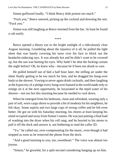Simon guffawed loudly. "I think Reecy doth protest too much."

"Fuck you," Reece sneered, picking up the cocktail and downing the rest. "Fuck you."

Simon was still laughing as Reece stormed from the bar. At least he found a cab easily.

\*\*\*\*

Reece opened a bleary eye to the bright sunlight of a ridiculously clear August morning. Grumbling about the injustice of it all, he pulled the light sheet that was barely covering his torso over his face to block out the headache-inducing rays. It was already hot and he didn't want to be covered up, but the sun was hurting his eyes. Why hadn't he shut the fucking curtain the night before? Oh, he knew why—because he'd been too drunk to care.

He pulled himself out of bed a half hour later, the stifling air under the sheet finally getting to be too much for him, and he dragged his hung-over body to the shower. Vowing to never again drink cocktails, and then laughing at the hypocrisy of a pledge every hung-over bastard in the world made only to renege on it at the next opportunity, he luxuriated in the tepid water of his shower—not too hot this morning because he needed to cool down.

When he emerged from his bedroom, clean and refreshed, wearing only a pair of soft, worn cargo shorts to provide a bit of modesty for his neighbors, he felt okay. Some aspirin and two large cups of strong coffee and he felt even better. He got on with his Saturday morning, his chores at least keeping his mind occupied and away from Simon's taunts. He was just putting a final load of washing into the dryer when his cell rang, and he hurried to his stereo to pull it off the dock and answer it, not bothering to read the caller ID.

"Yo," he called out, over-compensating for the music, even though it had stopped as soon as he removed the phone from the dock.

"And a good morning to you, too, sweetheart." The voice was almost too joyous.

"Simon," he growled, for a split-second considering hanging up on him.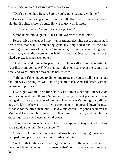"Don't be like that, Reecy. Surely you're not *still* angry with me."

He wasn't really angry with Simon at all. His friend's taunts had been playful, if a little close to home. He was angry with himself.

"No," he answered, "even if you are a jackass."

Simon burst into laughter. "That I am, sweetheart, that I am."

Reece rolled his eyes at Simon's endearment, deciding not to comment. It was better that way. Commenting generally only added fuel to the fire, resulting in more use of the name Simon had gifted him, in a very tongue-incheek way, when they were juniors in high school and just realizing they both liked guys… just not each other.

"And to what do I owe the pleasure of a phone call so soon after being in your illustrious company?" Not that multiple phone calls over the course of a weekend were unusual between the best friends.

"I thought I'd tempt you to dinner, my treat, and you can tell me all about the interview, seeing as we kind of got off track. And I'll listen without judgment, I promise."

Last night was the first time he'd seen Simon since the interview on Wednesday, and even though Simon was usually the first person he'd have bragged to about the success of the interview, he wasn't feeling so confident now. He felt like he was on a roller coaster: up one minute and down the next. "Thanks for the offer, man, but I'll take a rain check. I'm gonna head over to Mom and Dad's and have lunch with them, maybe a swim, and then have a quiet night at home. I need to wind down."

There was a moment's pause before Simon spoke. "Okay, but before I go, you said that the interview went well."

"It did. I felt over the moon when it was finished." Saying those words pumped him up a bit, and he stood a little straighter.

"Well, if that's the case—and forget about any of the other candidates then the job might be yours. If 'someone else' gets it, then it wasn't meant to be."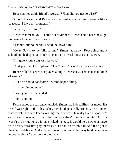Reece smiled at his friend's words. "When did you get so wise?"

Simon chuckled, and Reece could almost visualize him preening like a peacock. "I have my moments."

"You do, my friend."

"Does that mean you'll come out to dinner?" Reece could hear the slight imploring tone to Simon's voice.

"Thanks, but no thanks. I need the down time."

"Okay. Say hi to the folks for me." Simon had known Reece since grade school and had spent as much time at the Howard house as at his own.

"I'll give Mom a big kiss for you."

"And your dad too… please." The "please" was drawn out and sultry.

Reece rolled his eyes but played along. "Eeeeeeeew. That is just all kinds of wrong."

"But he's soooo handsome." Simon kept ribbing.

"I'm hanging up now."

"Love you," Simon added.

"Love you too."

Reece ended the call and chuckled. Simon had indeed lifted his mood. His friend was right. If the job was his, then he'd get a call, probably on Monday; if it wasn't, then he'd keep working where he was. He really liked hisjob; he'd only been interested in the other because they'd come after him. And he wasn't too proud to say it had stroked his ego. It would be a new challenge, with a very attractive pay increase, but he'd live without it. And if he got it, then he'd celebrate. And whether it was his or not, either way he'd never have to bother about Cameron Fielding again.

\*\*\*\*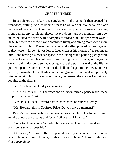## CHAPTER THREE

<span id="page-15-0"></span>Reece picked up his keys and sunglasses off the hall table then opened the front door, pulling it closed behind him as he walked out into the fourth-floor hallway of his apartment building. The space was quiet, no noise at all coming from behind any of his neighbors' heavy doors, and it reminded him how much he liked the privacy this complex afforded him. His apartment wasn't huge, but the two bedrooms and combined living and dining rooms were more than enough for him. The modern kitchen and well-appointed bathroom, even if they weren't large—it was less to keep clean as his mother often reminded him—and having his own car space in the underground parking garage were what he loved most. He could see himself living there for years, as long asthe owners didn't decide to sell. Choosing to use the stairs instead of the lift, he pushed open the door at the end of the hall and began to jog down. He was halfway down the stairwell when his cell rang again. Thinking it was probably Simon begging him to reconsider dinner, he pressed the answer key without looking at the display.

"Yo." He breathed loudly as he kept moving.

"Ah, Mr. Howard…?" The voice and an uncomfortable pause made Reece stop in his tracks. *Shit!*

"Yes, this is Reece Howard." *Fuck, fuck, fuck*, he cursed silently.

"Mr. Howard, this is Geoffrey Price. Do you have a moment?"

Reece's heart was beating a thousand miles a minute, but he forced himself to take a few deep breaths and focus. "Of course, Mr. Price."

"Sorry to phone you on Saturday, but we wanted to move forward with this position as soon as possible."

"Of course, Mr. Price," Reece repeated, silently smacking himself on the head at being so lame. "I mean, sir, that is not a problem." He rolled his eyes. *Get a grip, dude.*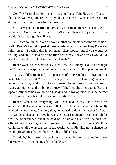Geoffrey Price chuckled, instantly easing Reece. "Mr. Howard—Reece the panel was very impressed by your interview on Wednesday. You are definitely the front-runner for the position."

So, this wasn't a job offer, but Price's words made Reece feel confident he was the *front-runner*. If there wasn't a real chance the job was his, he wouldn't be getting this call now.

Mr. Price continued, "We do have another candidate who impressed us as well." Reece's heart dropped at those words, sure of who Geoffrey Price was referring to. "I realize this is extremely short notice, but if you would be willing, and able, to take vacation time next week, I have a task I would like you to complete. Think of it as a trial of sorts."

Reece wasn't sure what to say. Next week? Monday? Could he wangle that? His head was spinning with what he had planned for the upcoming week.

"You would be financially compensated of course, in lieu of vacation-time lost," Mr. Price added. "I realize this may prove difficult to arrange seeing as today is Saturday, and it is not an ultimatum by any means, nor is a test of your commitment to the job—old or new." Mr. Price chuckled again. "But this opportunity became available on Friday, and in my opinion, it is the perfect way to see if the job would suit you like I think it will."

Reece listened to everything Mr. Price had to say. He'd heard his assurances that it was not necessary that he do this, but he knew if he really wanted the job it was. Not only that, he wanted to do it—whatever "it" was. He wanted a chance to prove he was the better candidate. He'd been told he was the front-runner, but if he said no to this and Cameron Fielding was offered the chance to go instead, and took it, then the job was gone. Mr. Price could make all the assurances in the world, but if Fielding got a chance, he would prove himself, and then the job would be lost.

"I'll do it," he blurted out, sucking in a breath before repeating in a more literate way, "I'll make myself available, sir."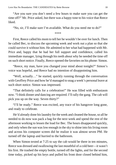"Are you sure you don't need a few hours to make sure you can get the time off?" Mr. Price asked, but there was a happy tone to his voice that Reece liked.

"No, sir, I'll make sure I'm available. What do you need me to do?"

\*\*\*\*

First, Reece called his mom to tell her he wouldn't be over for lunch. Then he called Bec, to discuss the upcoming week and work out a plan so that she could survive it without him. He admitted to her what had happened with Mr. Price and, happy that he had her full support and confidence, called his immediate manager, lying through his teeth about why he needed the time off on such short notice. Finally, Reece opened the favorites on his phone: Simon.

"Reece, my man, have you changed your mind about tonight?" Simon's voice was hopeful, and Reece had no intention of disappointing him.

"Well, actually…" he started, quickly running through the conversation with Geoffrey Price and how he'd managed to snag a week's personal leave at such short notice. Simon was impressed.

"That definitely calls for a celebration!" He was filled with enthusiasm now. "I think dinner *and* dancing are required. I'll rally the gang. The cab will pick you up on the way. Seven thirty?"

"I'll be ready." Reece was excited, any trace of his hangover long gone, and ready to celebrate.

He'd already done his laundry for the week and cleaned the house, so all he needed to do now was pack a bag for the next week and spend the rest of the afternoon working to lessen the load for Bec. The hours disappeared quickly, and only when the sun was low enough in the sky to shine into his living room and across his computer screen did he realize it was almost seven PM. He turned off the laptop and hurried to the bathroom.

When Simon texted at 7:25 to say the cab would be there in ten minutes, Reece was dressed and swallowing the last mouthful of a cold beer—it wasn't his first. He trashed the empty bottle, turned off the lights, and for the second time today, picked up his keys and pulled his front door closed behind him,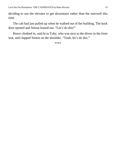deciding to use the elevator to get downstairs rather than the stairwell this time.

The cab had just pulled up when he walked out of the building. The back door opened and Simon leaned out. "Let's do this!"

Reece climbed in, said hi to Toby, who was next to the driver in the front seat, and clapped Simon on the shoulder. "Yeah, let's do this."

\*\*\*\*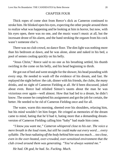### CHAPTER FOUR

<span id="page-19-0"></span>Thick ropes of come shot from Reece's dick as Cameron continued to stroke him. He blinked open his eyes, expecting the other people around them to realize what was happening and be looking at him in horror, but now, with his eyes open, there was no one, and the music wasn't music at all, but the incessant drone of his alarm, and the hand stroking the orgasm from his cock wasn't someone else's.

There was no club crowd, no dance floor. The dim light was nothing more than his bedroom at dawn, and he was alone, alone and naked in his bed, a pool of semen cooling quickly on his belly.

"Jesus Christ," Reece said to no one as his breathing settled, his thumb swirling in the come on his belly, and his head beginning to throb.

He got out of bed and went straight for the shower, his head pounding with every step. He needed to wash off the evidence of his dream, and fast. He replayed the night before: the cab, dinner with his friends, the clubs, the *many* drinks, and no sight of Cameron Fielding at all. He'd been discussed, joked about even. Reece had relished Simon's taunts about the man he was victorious over again—well almost. How that had led to a dream, he didn't know. The sooner he completed his assignment and got the job for certain, the better. He needed to be rid of Cameron Fielding once and for all.

The water, warm this morning, sheeted over his shoulders, relaxing him, but his mind wouldn't let him forget. He cringed as memories of the dream came to mind, hating that he'd had it, hating more that a demanding dreamversion of Cameron Fielding calling him "baby" had made him come.

*"I know you want me," Cameron whispered close to his ear. The voice a mere breath in the loud room, but still he could make out every word*… *every syllable. The heatradiating off the body behind him wastoo much*… *too close, even in the over-heated, over-crowded, over-sensitized environment that the club crowd around them was generating. "You've always wanted me."*

*He had. Oh god, he had. So. Fucking. Much.*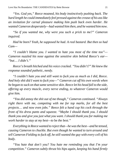*"Yes. God yes," Reece moaned, his body instinctively pushing back. The hard length he could immediately feel pressed against the crease of his asslike an invitation for carnal pleasure making him push back even harder. He wanted Cameron desperately—had wanted him then, and he wanted him now.*

*"So if you wanted me, why were you such a prick to me?" Cameron inquired.*

*Had he been? Yeah, he supposed he had. A real bastard. But then so had Cam—*

*"I couldn't blame you. I wanted to hate you most of the time too"— Cameron nuzzled his nose against the sensitive skin behind Reece's ear— "but*… *I didn't."*

*Reece's breath hitched and his voice cracked. "You didn't?" He knew the response sounded pathetic, needy.*

*"I couldn't hate you and still want to fuck you as much as I did, Reece. And holy shit did I want to fuck you—" Cameron cut off his own words when he began to suck on thatsame sensitive skin. Reece let his head fall to the side, offering up every muscle, every nerve ending, to whatever Cameron would give him.*

*"You did annoy the shit out of me though," Cameron continued. "Always right there with me, competing with me for top marks, for all the best projects*… *and now even jobs." Reece felt a hand cup his cock through the front of his dress pants and squeeze. "Maybe I should thank you. I should thank you and give you just what you want. I should thank you for making me work harder to stay at my best—to* be *the best."*

*Everything in Reece wanted to reject that—he wasthe best—and he tensed, causing Cameron to chuckle. But even though he wanted to turn around and tell Cameron Fielding to fuck off, he still wanted the guy with every cell of his body.*

*"You hate that don't you? You hate me reminding you that I'm your competition." Cameron subtly thrust his hips again, keeping his hand firmly*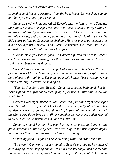*cupped around Reece's erection. "I am the best, Reece. Let me show you, let me show you just how good I can be."*

*Cameron's other hand moved off Reece's chest to join its twin. Together they undid his belt, unclasped the closure of Reece's jeans, slowly pulling at the zipper until the fly was open and he was exposed. He had no underwear on and his cock popped out, eager, pointing at the crowd. He didn't care. He didn't care aslong as Cameron touched him. His eyes closed as he leaned his head back against Cameron's shoulder, Cameron's hot breath still there against his ear, his throat, the side of his face.*

*"Gonna make you feel so good*…*" Cameron purred as he took Reece's erection into one hand, pushing the other down into his jeans to cup his balls, rolling each between his fingers.*

*"Jesus!" Reece exclaimed, the feel of Cameron's hands on the most private parts of his body sending what amounted to shooting explosions of pure pleasure through him. The man had magic hands. There was no way he would last long. "Jesus!" he said again.*

*"You like that, don't you, Reece?" Cameron squeezed both hands harder. "And right here in front of all these people, just like the little slut I knew you would be."*

*Cameron was right; Reece couldn't care less if he came right here, right now. He didn't care if he shot his load all over the pretty blonde and her handsome, very straight, boyfriend dancing in front of him. He didn't care if the whole crowd saw him do it. All he wanted to do was come, and he wanted to come because Cameron was the one to make him.*

*Cameron's hand kept moving over his now-slick erection. Long, strong pulls that ended at the overly sensitive head, a quick but firm squeeze before he'd run his thumb over the tip*… *and then do it all again.*

*So fucking good. As good as he knew being with Cameron would be.*

*"So close." Cameron's teeth nibbled at Reece's earlobe as he muttered encouraging words, urging him on. "So hard for me, baby. Such a dirty slut. You gonna come here now, right here in front of all these people? Show them*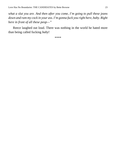*what a slut you are. And then after you come, I'm going to pull these jeans down and ram my cock in your ass. I'm gonna fuck you right here, baby. Right here in front of all these peop—"*

Reece laughed out loud. There was nothing in the world he hated more than being called fucking *baby*!

\*\*\*\*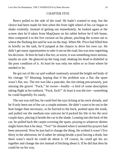#### CHAPTER FIVE

<span id="page-23-0"></span>Reece pulled to the side of the road. He hadn't wanted to stop, but the choice had been made for him when the front right wheel of his car began to shake violently. Instead of getting out immediately, he looked again at the screen shot he'd taken from MapQuest on his tablet before he'd left home, then compared it to the live version on his phone, pinching the screen out to where the flashing dot said he was on the map. When Mr. Price had filled him in briefly on the task, he'd jumped at the chance to drive his own car. He didn't get many opportunities to take it out on the road, but was now regretting his decision. At best he had a flat tire, at worst, it was something more serious, maybe an axle. He glanced up the long road, shaking his head in disbelief at the poor condition of it. At least he was only ten miles or so from where he needed to be.

He got out of the car and walked cautiously around the bright red body of his vintage '67 Mustang, hoping that if the problem was a flat, the spare wasn't flat, too. The tire was like a pancake, the rim sitting precariously, just missing the gravel. "Fuck," he swore—loudly—a bird of some description taking flight at his outburst. "Fuck, fuck!" At least it was the tire—something he could hopefully fix easily.

The sun was still hot, he could feel the rays licking at his neck already, and he'd only been out of the car a couple minutes. He didn't want to be out in the heat longer than necessary, so he hurried to the back, pushed open the trunk, and pulled out the medium-size suitcase he'd packed his life in for the next couple days, placing it beside the car in the shade. Leaning into the back of the car, he pulled back the carpet covering the spare, praying to whatever deities might listen that it be okay. "Yes!" he shouted when it seemed his prayers had been answered. Now he just had to change the thing. He wished it wasn't five thirty in the afternoon; he'd rather be sitting beside a pool having a drink, but there wasn't much he could do about it. Of course, he *could* get his act together and change the tire instead of bitching about it. If he did that then he could be on his way.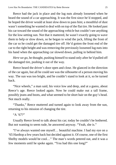Reece had the jack in place and the lug nuts already loosened when he heard the sound of a car approaching. It was the first since he'd stopped, and he hoped the driver would at least slow down to pass him; a mouthful of dust wasn't something he wanted to deal with on top of the flat tire. He looked past his car toward the sound of the approaching vehicle but couldn't see anything for the low-setting sun. Not that it mattered, he wasn't exactly going to wave them to help or slow down, so he began to wind the jack, lifting the front of the car so he could get the damaged tire off. He'd gotten the front end of the car to the right height and was removing the previously loosened lug nuts into his hand when the approaching car slowed down, pulling in behind him.

*Here we go*, he thought, pushing himself to stand only after he'd pulled off the damaged tire, pushing it out of the way.

Reece heard the driver's door open and close. He glanced in the direction of the car again, but all he could see was the silhouette of a person moving his way. The sun was too bright, and he couldn't stand to look at it, so he turned back.

"Nice wheels," a man said, his voice low and deep, and at a guess, about Reece's age. Reece looked again. Now he could make out a tall frame, possibly jeans and boots, and what seemed to be short hair on the guy's head. Not much really.

"Thanks," Reece muttered and turned again to look away from the sun, returning to his mission of changing the tire.

"A '67?"

Usually Reece loved to talk about his car; today he couldn't be bothered. But not wanting to seem rude, he answered anyway. "Yeah, she is."

"I've always wanted one myself… beautiful machine. I had my eye on a '65 Hardtop a few years back but decided against it. Of course, one of the first Shelby models would be cool…" The man's words petered out, and it was a few moments until he spoke again. "You had this one long?"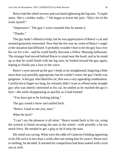Reece had the wheel on now and was hand tightening the lug nuts. "Couple years. She's a hobby really—" He began to lower the jack. "Did a lot of the work myself."

"Impressive." The guy's voice sounded like he meant it.

"Thanks."

The guy hadn't offered to help, but he was appreciative of Reece's car and seemed genuinely interested. Now that the tire was on, some of Reece's anger at the situation had diffused. It probably wouldn't hurt to let the guy fuss over his car for a bit—and he could hardly discount a fellow Mustang enthusiast. The stranger had moved behind Reece to stand near the hood, and as he stood up so that he could finish with the lug nuts, he looked toward the guy again, hoping to finally put a face to the voice.

Reece's eyes moved up the guy's body as he straightened, lingering a little more than was possibly appropriate, but he couldn't resist; the guy's body was gorgeous. A hot guy who liked his car; that was a very appealing combination. Careful not to linger too long, he certainly didn't want to offend some straight guy who was merely interested in his car, he smiled as he reached the guy's face—the smile disappearing as quickly as it had formed.

"You have got to be fucking joking."

The guy raised a brow and smiled back.

"Reece. Good to see you, man."

*What the fuck?*

"I can't say the pleasure is all mine." Reece turned back to his car, using the wrench to finish securing the nuts to the wheel—with possibly a bit too much force. He needed to get a grip or he'd strip the nuts.

His mind was racing. What were the odds of Cameron Fielding appearing in his life twice in less than a week after not seeing him for years? About zero to nothing, he decided. It seemed his competition had been tasked with a trial run as well.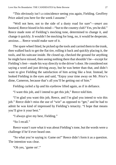"This obviously isn't a coincidence seeing you again, Fielding. Geoffrey Price asked you here for the week I assume."

"Well not here, not to the side of a dusty road for sure"—*smart ass bastard*, Reece hissed in his mind—"but to the country club? Yes, yes he did." Reece made note of Fielding's mocking tone, determined to change it, and change it quickly. It wouldn't be mocking for long, no, it would be desperate, anxious… Reece would make sure of it.

The spare wheel fitted, he picked up the tools and carried themto the trunk, then walked back to get the flat tire, rolling it back and quickly placing it, the tools, and his suitcase inside. He closed up, checked the ground for anything he might have missed, then seeing nothing there that shouldn't be—except for Fielding's feet—made his way directly to the driver's door. He considered not saying a word and just driving away, but he was better than that, and didn't want to give Fielding the satisfaction of him acting like a brat. Instead, he looked Fielding in the eyes and said, "Enjoy your time away on Mr. Price's dime, Cameron, because that's all you'll be getting out of him."

Fielding curled a lip and his eyebrow lifted again, as if in defiance.

"I want this job, and I intend to get this job," Reece told him.

"I'm glad you want this job, Reece, and I'm glad you intend to win this job." Reece didn't miss the use of "win" as opposed to "get," and he had to admit he was kind of impressed by Fielding's tenacity. "I hope that means you'll give it your best."

"I always give my best, Fielding."

"So I recall."

Reece wasn't sure what it was about Fielding's tone, but the words were a challenge if he'd ever heard one.

"So what you're saying is: Game on!" Reece didn't form it as a question. The intention was clear.

"Oh yes, 'game on'."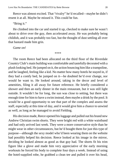Reece was almost excited. That "rivalry" he'd recalled—maybe he didn't resent it at all. Maybe he missed it. This could be fun.

"Bring it."

He climbed into the car and started it up, checked to make sure he wasn't about to drive over the guy, then accelerated away. He was probably being childish, and it was probably too fast, but the thought of dust settling all over that bastard made him grin.

*Game on!*

\*\*\*\*

The room Reece had been allocated on the third floor of the Riverdale Country Club's main building was comfortable and tastefully decorated with a plush looking bed. He jumped on it, the action bouncing himlike a trampoline, and he laughed, feeling like a kid. No matter how many hotels he stayed in, if they had a comfy bed, he jumped on it—he doubted he'd ever change, nor would he want to. He looked around, taking in the decor and level of amenities, filing it all away for future reference. He briefly considered a shower and then an early dinner in the main restaurant, but it was still light outside. It wouldn't be for long, the sun was close to setting, but there was enough time for him to have a swim instead, then maybe a drink by the pool. It would be a good opportunity to see that part of the complex and assess the staff, especially at this time of day, and it would give him a chance to unwind as well, as long as he managed to avoid Fielding.

His decision made, Reece opened his luggage and pulled out his brand new Andrew Christian swim shorts. They were bright red with a white waistband and had only arrived last week. They were a more conservative style than he might wear in other circumstances, but he'd bought them for just this type of purpose—although the sexy model who'd been wearing them on the website had possibly helped his decision. Reece looked at his image in the mirror, deciding he looked almost as good as that guy had. The shorts fit his trim figure like a glove and made him very appreciative of the early morning workouts he forced his body to complete four days a week. Instead of using the hotel-supplied robe, he grabbed a clean tee and pulled it over his head,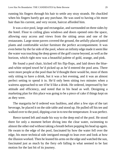running his fingers through his hair to settle any stray strands. He chuckled when his fingers barely got any purchase. He was used to having a bit more hair than his current, and very recent, haircut afforded him.

It was a nice pool, large and rectangular, and surrounded on three sides by the hotel. Floor to ceiling glass windows and doors opened onto the space, allowing easy access and views from the sitting areas and one of the restaurants. Large stone pavers covered the ground, the artfully placed potted plants and comfortable wicker furniture the perfect accompaniment. It was even better by the far side of the pool, where an infinity edge made it seem like the water wastouching the deep green of the golf course beyond, as well asthe horizon, which right now was a beautiful palette of gold, orange, and pink.

He found a pool chair, kicked off his flip-flops, and laid down the blueand-white striped towel he'd picked up as he'd entered the pool area. There were more people at the pool than he'd thought there would be, most of them only sitting to have a drink, but it was a hot evening, and it was an almost perfect setting to spend it in. He'd only been sitting two minutes when a waitress approached to see if he'd like a drink. He ordered, impressed by her attitude and efficiency, and noted that in his head as well. Designing a marketing plan for this place was going to be a piece of cake if things kept on as they were.

The margarita he'd ordered was faultless, and after a few sips of the tart beverage, he placed it on the side table and stood up. He pulled off his tee and walked over to the pool, dipping a toe in to test the temperature. It was perfect.

Reece turned left and made his way to the deep end of the pool. He stood there for only a moment before diving into the clear water, swimming to almost the other end without taking a breath before popping his head up again. He swam to the edge of the pool, fascinated by how the water fell over the edge, his more technical side intrigued enough to lean over and look at how the illusion worked. Then he leaned his arms on the edge and watched the sun, fascinated just as much by the fiery orb falling in what seemed to be fast motion for the last bit of its journey.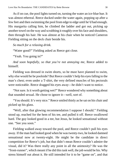As if on cue, the pool lights turned on, turning the water an ice-blue hue. It was almost ethereal. Reece ducked under the water again, popping up after a few feet and then swimming the pool from edge to edge until he'd had enough. His margarita calling him, he climbed the ladder and got out, picking up another towel on the way and scrubbing it roughly over hisface and shoulders, then through his hair. He was almost at his chair when he noticed Cameron Fielding sitting on the deck chair beside his.

*So much for a relaxing drink.*

"Water good?" Fielding asked as Reece got close.

"Yeah. You going in?"

*And soon hopefully, so that you're not annoying me*, Reece added to himself.

Fielding was dressed in swim shorts, so he must have planned to swim, why else would he be poolside? But Reece couldn't help his eyesfalling to the man's chest; even under a T-shirt, the very defined muscles of his pectorals were noticeable. Reece dragged his eyes away—he didn't want to notice.

"Not sure. Is it worth getting wet?" Reece wondered why something about that sounded sexual. He chose to ignore it—well, sort of.

"You should. It's very nice." Reece smiled thinly as he sat on his chair and picked up his glass.

"Well, after that glowing recommendation I suppose I should." Fielding stood up, reached for the hem of his tee, and pulled it off. Reece swallowed hard. The guy looked good in a tee, but Jesus, he looked sensational without one. "See you soon."

Fielding walked away toward the pool, and Reece couldn't pull his eyes away. If the man had looked good when he wastwenty-two, he looked damned sensational now at twenty-eight. He might be the candidate in direct competition for Reece's job, but that didn't mean Reece couldn't admire the visual, did it? Was there really any point in all the animosity? He was the "front-runner", which meant if he did this task well, the job would be his. Why stress himself out about it. He still intended for it to be "game on", and that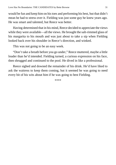would be fun and keep him on histoes and performing his best, but that didn't mean he had to stress over it. Fielding was just some guy he knew years ago. He was smart and talented, but Reece was better.

Having determined that in his mind, Reece decided to appreciate the views while they were available—all the views. He brought the salt-rimmed glass of his margarita to his mouth and was just about to take a sip when Fielding looked back over his shoulder in Reece's direction, and winked.

This was not going to be an easy week.

"Don't take a breath before you go under," Reece muttered, maybe a little louder than he'd intended. Fielding turned, a curious expression on his face, then shrugged and continued to the pool. He dived in like a professional.

Reece sighed and downed the remainder of his drink. He'd have liked to ask the waitress to keep them coming, but it seemed he was going to need every bit of his wits about him if he was going to best Fielding.

\*\*\*\*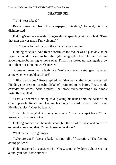## CHAPTER SIX

<span id="page-31-0"></span>"Is this seat taken?"

Reece looked up from his newspaper. "Fielding," he said, his tone disinterested.

Fielding's smile was wide, his eyes almost sparkling with mischief. "Does" that non-answer mean I'm welcome?"

"No." Reece looked back to the article he was reading.

Fielding chuckled. And Reece continued to read, or was it just *look*, at the page; he couldn't seem to find the right paragraph. He could feel Fielding hovering, not bothering to move away. Finally he looked up, raising his brow in a silent question, no words needed.

"Come on, man, we're both here. We're not exactly strangers. Why eat alone when we could catch up?"

"I like to eat alone," Reece replied, as if that was all the response required. Fielding's expression of calm disbelief prompted more before Reece could consider his words. "And besides, I eat alone every morning." He almost instantly regretted it.

"That's a shame," Fielding said, placing his hands onto the back of the chair opposite Reece and leaning his body forward. Reece didn't want Fielding's pity. "Must be lonely."

"It's only 'lonely' if it's not your choice," he almost spat back. "I can assure you, it is my choice."

Fielding nodded as if he understood, but the tilt of his head and confused expression rejected that. "You choose to be alone?"

What the hell was going on?

"Who are you?" Reece asked, his tone full of frustration. "The fucking dating police?"

Fielding seemed to consider this. "Okay, so not only do you choose to live alone, you don't date either?"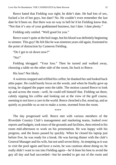Reece hated that Fielding was right; he didn't date. He had lots of sex, fucked a lot of hot guys, but date? No. He couldn't even remember the last date he'd been on. But there was no way in hell he'd let Fielding know that. "Not that it's any of your goddamned business, but I date. I date plenty."

Fielding only smiled. "Well good for you."

Reece wasn't quite at the boil stage, but his blood was definitely beginning to simmer. This guy! He felt like he was nineteen years old again, frustrated to the point of distraction by Cameron Fielding.

```
"Do I get to sit down now?"
```
"No!"

Fielding shrugged. "Your loss." Then he turned and walked away, choosing a table on the other side of the room, his back to Reece.

His loss? Not likely.

A waitress stopped and refilled his coffee; he thanked her and looked back athis paper. He could barely focus on the words, and when he finally gave up trying, he slapped the paper onto the table. The motion caused Reece to look up and across the room—well, he could tell himself that. Fielding sat there, calmly sipping his coffee and looking out at the view of the golf course, seeming to not have a care in the world. Reece clenched a fist, stood up, and as quietly as possible so as not to make a scene, stormed from the room.

\*\*\*\*

The day progressed well. Reece met with various members of the Riverdale Country Club's management and marketing teams, looked over reports and budgets, took tours of the grounds and facilities, then retired to his room mid-afternoon to work on his presentation. He was happy with his progress, and the hours passed by quickly. When he closed his laptop just before five, he was ready for a break. He was having dinner with the club's General Manager and his wife, but not until seven thirty. As tempting as it was to visit the pool again and have a swim, he was cautious about doing so; he really didn't want to run into Fielding again—he'd done his best to avoid the guy all day and had succeeded—but he needed to get out of the room and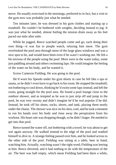move. He usually exercised in the mornings, preferred to in fact, but a visit to the gym now was probably just what he needed.

Ten minutes later, he was dressed in his gym clothes and starting up a treadmill. He couldn't be bothered with weights, deciding instead to jog. It *was* just what he needed, almost feeling the tension drain away as his feet paced out mile after mile.

While he jogged, Reece watched people come and go, each doing their own thing—it was fun to people watch, relaxing him more. The gym overlooked the pool area through more of the large glass windows and was a nice spot to be, and would have been even if he wasn't working out. He felt a bit envious of the people using the pool. More were in the water today, some just paddling around and others swimming laps. He could imagine the feeling of the water on his body, and he wanted it.

Screw Cameron Fielding. He was going to the pool.

He'd worn his Speedo under his gym shorts in case he felt like a spa or sauna, so he didn't even have to go back to his room. He stopped the treadmill, not bothering to cool down, thinking he'd swim some lapsinstead, and left the room, going straight for the pool area. He found a pool lounge close to the outdoor shower, and as tempted as he was to just strip off and jump in the pool, he was very sweaty and didn't imagine he'd be real popular if he did. Instead, he took off his shoes, socks, shorts, and tank, placing them neatly under the chaise. The shower was nice on hisskin, cool, and he took a moment to run his hands over his body and rinse away the perspiration from his workout. His heart rate was dropping though, so he didn't linger. He needed to get into that pool.

Reece turned the water off, not bothering with a towel; he was about to get wet again anyway. He walked instead to the edge of the pool and readied himself to dive in. A strange feeling passed over him, and he looked across to the other side of the pool. Fielding was sitting at a table, beer in hand, watching him. Actually, watching wasn't the right word; Fielding wasleering at him. Reece shivered, and it had nothing to do with the temperature of the air. The beer was half empty, which mean Fielding had been there a while,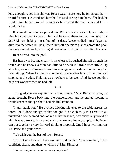long enough to see him shower. Reece wasn't sure how he felt about that weird for sure. He wondered how he'd missed seeing him there. If he had, he would have turned around as soon as he entered the pool area and left wouldn't he?

It seemed like minutes passed, but Reece knew it was only seconds, as Fielding continued to watch him, and he stood there and let him. *What the hell?* Almost shaking himself out of his daze, Reece readied himself again to dive into the water, but he allowed himself one more glance across the pool. Fielding smiled, his lips curling almost seductively, and then lifted his beer.

Reece dived into the pool.

His heart was beating crazily in his chest as he pushed himself through the water, and he knew exertion had little to do with it. Stroke after stroke, lap after lap, not once allowing himself to look again in the direction Fielding had been sitting. When he finally completed twenty-five laps of the pool and stopped at the edge, Fielding was nowhere to be seen. And Reece couldn't help but wonder when he had left.

\*\*\*\*

"I'm glad you are enjoying your stay, Reece." Mrs. Richards using his name brought Reece back into the conversation, and he smiled, hoping it would seem as though she'd had his full attention.

"I am, thank you." He avoided flicking his eyes to the table across the room—he'd done enough of that tonight. "The club truly is a credit to all involved." She beamed and looked at her husband, obviously very proud of him. It was a treat to be around such a warm and loving couple. "I believe I can put together a very forward-thinking proposal. One I hope will impress Mr. Price and your board."

"We wish you the best of luck, Reece."

"I'm not sure luck will have anything to do with it," Reece replied, full of confident cheek, and then he winked at Mrs. Richards.

"Something tells me to believe you, dear."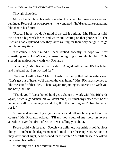They all chuckled.

Mr. Richards rubbed his wife's hand on the table. The move was sweet and reminded Reece of his own parents—he wondered if he'd ever have something like that in his future.

"Reece, I hope you don't mind if we call it a night," Mr. Richards said. "It's been a big week for us, and we're still waiting on that phone call." The Richards had explained how they were waiting for their only daughter to go into labor any time.

"Of course I don't mind," Reece replied honestly. "I hope you hear something soon. I don't envy women having to go through childbirth." He shared an anxious look with Mr. Richards.

"You men," Mrs. Richards chuckled. "Abigail will be fine. It's her father and husband that I'm worried for."

"Tate and I will be fine." Mr. Richards rose then pulled out his wife's seat. "Let's get out of here; we'll call on the way home." Mrs. Richards seemed to like the sound of that idea. "Thanks again for joining us, Reece. I do wish you the best," he said.

"Thank you." Reece hoped he'd get a chance to work with Mr. Richards again, he was a good man. "If you don't mind, I'll finish my coffee then be off to bed as well. I'm having a round of golf in the morning, so I'd best be rested for it."

"Come and see me if you get a chance and tell me how you found the course," Mr. Richards offered. "I'll tell you a few of my more *humorous* anecdotes over that drop of Scotch I was telling you about."

Reece could wait for that—Scotch was definitely not on his list of fabulous things!—but he nodded agreement and stood to see the couple off. As soon as they were out of sight, he beckoned for the waiter. "A refill please," he asked, indicating his coffee.

"Certainly, sir." The waiter hurried away.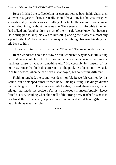Reece finished the coffee left in his cup and settled back in his chair, then allowed his gaze to drift. He really should have left, but he was intrigued enough to stay. Fielding was still sitting at the table. He was with another man, a good-looking guy about the same age. They seemed comfortable together, had talked and laughed during most of their meal. Reece knew that because he'd struggled to keep his eyes to himself, glancing their way at almost any opportunity. He'd been able to get away with it though because Fielding had his back to him.

The waiter returned with the coffee. "Thanks." The man nodded and left.

Reece wondered about the draw he felt, wondered why he was still sitting here when he could have left the room with the Richards. Was he curious in a business sense, or was it something else? He certainly felt unsure of his motives. Since that look this afternoon at the pool, he'd been out of whack. Not like before, when he had been just annoyed, but something different.

Fielding laughed, the sound was deep, joyful. Reece felt warmed by the sound, but he stopped himself when he felt his lips lifting. Fielding's dinner partner laughed, too. There was no smile for that; instead, there was a growl in his gut that made the coffee he'd just swallowed sit uncomfortably. Reece lifted his cup, deciding when the smell of the strong brew reached his nose to not finish the rest; instead, he pushed out his chair and stood, leaving the room as quickly as was possible.

\*\*\*\*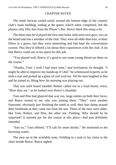## CHAPTER SEVEN

<span id="page-37-0"></span>The ninth fairway curled easily around the bottom edge of the country club's main building, ending at the green, which when completed, left the players only fifty feet from the Player's Bar. Reece liked this setup a lot.

The three men he'd played the first nine holes with were nice guys, two on the board and one a member of the club. They were all older than him, in their fifties at a guess, but they were interesting and had kept the conversation current. Plus they'd offered a lot about their experiences with the club. A lot that Reece could use in his quest for this job.

"You played well, Reece, it's good to see some young blood out there on the course."

"Thanks, Tom. I wish I had more time," *and inclination,* he thought. "I might be able to improve my handicap if I did," he schmoozed expertly as he took a seat and picked up a glass of cool iced tea. All the men laughed at that and he joined in, liking how his morning was playing out.

That was until board member Robert called out in a loud hearty voice, "Here they are," as he looked over Reece's shoulder.

Tom and Pete had glanced that way too, large smiles on both their faces, and Reece turned to see who was joining them. "They" were another foursome, obviously just finishing the ninth as well, their hair damp around their foreheads as they came out from the sun. Three of the men were older, like Tom, Robert, and Pete, the other not. Fielding. Why should he be surprised? It seemed par for the course at this place—bad pun definitely intended.

"Join us," Tom offered, "I'll call for more drinks." He motioned to the hovering waiter.

The men sat in the available seats, Fielding in a rush to lay claim to the chair beside Reece. Reece sighed.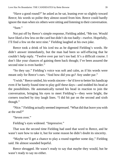"Have a good round?" he asked as he sat, leaning ever so slightly toward Reece; his words so polite they almost oozed from him. Reece could hardly ignore the man when six others were sitting and listening to their conversation.

"Sure."

Not put off by Reece's simple response, Fielding added, "Me too. Would have liked a few less on the card but didn't do too badly—twelve. Hopefully, I'll find a few on the next nine." Fielding laughed at his own joke.

Reece took a drink of his iced tea as he digested Fielding's words. He didn't answer immediately, but the man had been so self-effacing that he couldn't help reply. "Twelve over par isn't too bad. It's a difficult course. I don't like your chances of gaining them back though; I've been assured the second nine is even harder."

"So they say." Fielding's voice was soft and calm, as if his words were meant only for Reece's ears. "And how did you go? Any under par."

"I wish." Reece smiled, his words sincere—he'd love to better his handicap even if he barely found time to play golf these days—and nodded his head at the possibilities. He automatically turned his head in reaction to join the conversation, bringing his eyes to meet Fielding's—they were bright, the corners touched by tiny laugh lines. "I did hit par on the second and sixth though."

"Nice." Fielding actually seemed impressed. "What did that leave you with at the end?"

"Seven over."

Fielding's eyes widened. "Impressive."

That was the second time Fielding had used that word to Reece, and he wasn't sure how to take it, but for some reason he didn't doubt its sincerity.

"Maybe we'll get a chance to play a round together some day," Fielding said. He almost sounded hopeful.

Reece shrugged. He wasn't ready to say that maybe they would, but he wasn't ready to say no either.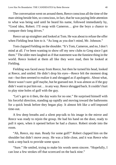The conversation went on around them, Reece conscious all the time of the man sitting beside him, so conscious, in fact, that he was paying little attention to what was being said until he heard his name, followed immediately by, "Good idea, Robert. I'll swap with Cameron… give the boys a chance to compare their long drives."

Reece sat up straighter and looked at Tom. He was about to refuse the offer when Fielding beat him to it. "As long as you don't mind, Mr. Johnson."

Tom clapped Fielding on the shoulder. "It's Tom, Cameron, and no, I don't mind at all. I've been wanting to show off my new clubs to Greg since I got them." The older men laughed as if that statement was the funniest thing in the world. Reece looked at them all like they were mad, then he looked at Fielding.

Fielding was faced away from Reece, but then he turned his head, looked at Reece, and smiled. He didn't drop his eyes—Reece felt the moment drag out—but then seemed to realize it and shrugged as if apologetic. About what, Reece wasn't sure: golf maybe, but he guessed not. It was almost as if the guy didn't want to put him out… in any way. Reece shrugged back. It couldn't hurt to play nine holes of golf with the guy.

"Let's get to it then, the day waits for no one." He surprised himself with his forceful direction, standing up rapidly and moving toward the bathrooms for a quick break before they began play. It almost felt like a self-imposed time-out.

A few deep breaths and a silent pep-talk to his image in the mirror and Reece was ready to rejoin the group. He had his hand on the door, ready to pull it open, when it opened before he had a chance. Robert strode into the room.

"Ah, Reece, my man. Ready for some golf?" Robert clapped him on the shoulder but didn't move away. He was a little close, and it was Reece who took a step back to provide some space.

"Sure." He smiled, trying to make his words seem sincere. "Hopefully, I can lose a few strokes off that scorecard on the back nine."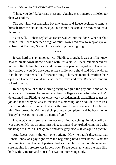"I hope you do," Robert said pleasantly, but his eyes lingered a little longer than was polite.

The appraisal was flattering but unwanted, and Reece decided to remove himself from the situation. "See you out there," he said as he moved to leave the room.

"You will," Robert replied as Reece walked out the door. When it shut behind him, Reece breathed a sigh of relief. Now he'd have to keep an eye on Robert *and* Fielding. So much for a relaxing morning of golf.

\*\*\*\*

It was hard to stay annoyed with Fielding, though. It was as if he knew how to break down Reece's walls with just a smile. Reece remembered his mother often telling him as a child to smile at people, regardless of whether they smiled at you. No one could resist a smile, or so she'd said. He wondered if Fielding's mother had said the same thing to him. No matter how often their eyes met, Cameron would smile at Reece—over and over. Reece was finding it hard to resist.

Reece spent a lot of the morning trying to figure the guy out. None of the antagonistic Cameron he remembered fromcollege wasto be found now. He'd determined that Fielding was either very confident in his capabilitiesto get the job and that's why he was so relaxed this morning, or he couldn't care less. Even though Reece doubted that to be the case, he wasn't going to let it bother him. Tomorrow they'd have their proposals completed and be back home. Today he was going to enjoy a game of golf.

Having Cameron smile at him was one thing, watching him hit a golf ball was another. He had an amazing swing, strong and controlled; combined with the image of him in his navy polo and dark-grey slacks, it was quite a picture.

And Reece wasn't the only one noticing. How he hadn't discerned that Robert Johns was gay right from the beginning he'd never know. Whether morning tea or a change of partners had warmed him up or not, the man was sure making his preferences known now. Reece began to watch the man flirt, both with Cameron and himself. It was an interesting study.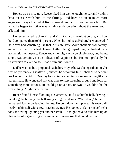Robert was a nice guy. Reece liked him well enough; he certainly didn't have an issue with him, or the flirting. He'd been hit on in much more aggressive ways than what Robert was doing before, so that was fine. But what he began to notice was an almost desperation about the man, and it affected him.

He remembered back to Mr. and Mrs. Richards the night before, and how he'd compared them to his parents. When he looked at Robert, he wondered if he'd ever had something like that in his life. Pete spoke about his own family, as had Tom before he had changed to the other group of four, but Robert made no mention of anyone. Reece knew he might only be single now, and being single was certainly not an indicator of happiness, but Robert—probably the first person to ever do so—made him question it all.

Did he want to be a perpetual bachelor? Maybe he was being ridiculous, he was only twenty-eight after all, but was he becoming like Robert? Did he want to? Hell no, he didn't. One day he wanted something more, something like his parents had. He wondered if it was time to stop screwing around and look for something more serious. He could go on a date, or two. It wouldn't be the worst thing. Might even be fun.

Reece found himself looking at Cameron. He'd just hit the ball, driving it far along the fairway, the ball going straight and long. "Well done," he said as he passed Cameron leaving the tee. He bent down and placed his own ball, readying himself with a few practice swings. He looked at Cameron before he took the swing, gaining yet another smile. He might have to take him up on that offer of a game of golf some other time—now that could be fun.

\*\*\*\*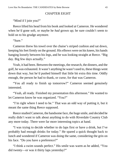## CHAPTER EIGHT

<span id="page-42-0"></span>"Mind if I join you?"

Reece lifted his head from his book and looked at Cameron. He wondered when he'd gone soft, or maybe he *had* grown up; he sure couldn't seem to hold on to his grudge anymore.

"Sure."

Cameron threw his towel over the chaise's striped cushion and sat down, keeping his feet firmly on the ground. His elbows were on his knees, his hands hanging loosely between his legs, and he was looking straight at Reece. "Big day. Big few days actually."

Yeah, it had been. Between the meetings, the research, the dinners, and the golf, he was exhausted. It wasn't anything he wasn't used to, these things went down that way, but he'd pushed himself that little bit extra this time. Oddly enough, the person he had to thank, or curse, for that was Cameron.

"You all ready to finish up tomorrow?" Cameron seemed genuinely interested.

"Yeah, all ready. Finished my presentation this afternoon." He wanted to let Cameron know he was organized. "You?"

"I'm right where I need to be." That was an odd way of putting it, but it meant the same thing Reece supposed.

Reece studied Cameron, the handsome face, the huge smile, and decided he really didn't want to talk about anything to do with Riverdale Country Club any more today. There were far more interesting topics at hand.

"I was trying to decide whether to do laps first or have a drink, but I've probably had enough drinks for today." He spared a quick thought back to lunch and wondered if Cameron was doing the same, considering the grin on his face. "Do you have a preference?"

"I think a swim sounds perfect." His smile was warm as he added, "You did twenty—or was it thirty laps yesterday?"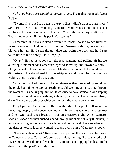*So he had been there watching the whole time.* The realization made Reece happy.

"Twenty-five, but I had been in the gym first—didn't want to push myself *too* hard." Reece liked watching Cameron swallow his emotion, his face shifting at the words, or was it at his tone? "I was thinking maybe fifty today. That's not even a mile in this pool. You game?"

Cameron's blue eyes looked determined. "Let's do it." Reece liked his intent, it was sexy. And he had no doubt of Cameron's ability; he wasn't just blowing hot air. He'd seen the guy dive and swim the pool, and he'd sure taken note of his fit body. He'd keep up.

"Okay." He let his actions say the rest, standing and pulling off his tee, allowing a moment for Cameron's eyes to move up and down his body liking the feel of his appreciative eyes. Maybe a bit too much; he could feel his dick stirring. He abandoned his mini-striptease and turned for the pool, not waiting once he got to the deep end.

Cameron matched Reece stroke for stroke as they powered up and down the pool. Each time he took a breath he could see long arms cutting through the water at his side, urging him on. It was nice to have someone who kept up with him; although, when he thought about it, that's what Cameron had always done. They were both overachievers. In fact, they were very alike.

Fifty laps over, Cameron met Reece at the edge of the pool. Both men were breathing deeply, and Reece watched with interest as Cameron's chest rose and fell with each deep breath. It was an attractive sight. When Cameron shook his head and then pushed a hand through his short but very thick hair, it took everything in Reece not to reach out and do it as well. He wanted to touch the dark spikes; in fact, he wanted to touch every part of Cameron's body.

"The sun's about to set." Reece wasn't expecting the words, and he looked to Cameron's face. Cameron's smile was wide, inviting; Reece smiled back. "Let's move over there and watch it," Cameron said, tipping his head in the direction of the pool's infinity edge.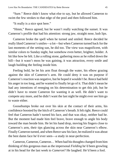"Sure." Reece didn't know what else to say, but he allowed Cameron to swim the few strokes to that edge of the pool and then followed him.

"It really is a nice spot here."

"Hmm," Reece agreed, but he wasn't really watching the sunset. It was Cameron's profile that had his attention: strong jaw, straight nose, lush lips.

Cameron broke the spell when he turned and smiled. Reece decided he really liked Cameron'ssmiles—a lot—but when Cameron turned back for the last moments of the setting sun, he did too. The view was magnificent, with similar colors to Sunday night, but somehow even better, brighter, bolder. A bit like how he felt. Like a rolling stone, gathering moss as he rolled down the hill—but it wasn't moss he was gaining, it was attraction, every smile and laugh building the feeling inside him.

Feeling bold, he let his arm float through the water, his elbow grazing against the skin of Cameron's arm. He could deny it was on purpose if Cameron's reaction was negative, but he hoped it wouldn't be. Reece had held his anger in too long, and he wanted to finally let go of it. That didn't mean he had any intentions of reneging on his determination to get this job, but he didn't have to resent Cameron for wanting it as well. He didn't want to compete any more, and he didn't want the last night he might ever see him go to waste either.

Goosebumps broke out over his skin at the contact of their arms, his confidence boosted by the hitch of Cameron's breath. It felt right. Reece could feel that Cameron hadn't turned his face, and that was okay, neither had he. But the moment had made him feel brave, brave enough to angle his body toward the man beside him. He let his hand drop, moving his fingers close to Cameron's arm, their tips glancing across the skin near Cameron's elbow. Finally Cameron turned, and when Reece saw his face, he realized it was about the best damn face he'd ever seen—a study in near-perfection.

Cameron, Cameron, Cameron… When had histhoughts changed fromhim thinking of this gorgeous man as the impersonal *Fielding* he'd been growling at in his head for the last week to *Cameron*? He laughed. He'd been a fool.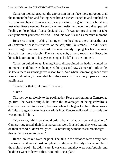Cameron looked puzzled, the expression on his face more gorgeous than the moment before, and feeling even braver, Reece leaned in and touched his still pool-wet lips to Cameron's. It was just a touch, a gentle caress, but it was just what Reece needed. Every bit of animosity he'd ever held disappeared. Feeling philosophical, Reece decided that life was too precious to not take every moment you were offered… and this was his and Cameron's moment.

Reece reached up, pushing his fingers into the almost-there hair at the base of Cameron's neck; his first feel of the soft, silk-like strands. He didn't even need to urge Cameron forward, the man already tipping his head to meet Reece's lips more closely. The kiss was soft, a mere touch, and Reece let himself luxuriate in it, his eyes closing as he fell into the moment.

Cameron pulled away, leaving Reece disappointed; he hadn't wanted the moment to end, but when he opened his eyes and saw Cameron's soft smile, he knew there was no negative reason for it. And when Cameron glanced over Reece's shoulder, it reminded him they were still in a very open and very public area.

"Ready for that drink now?" he asked.

"Sure."

The men swam slowly to the pool ladder, Reece motioning for Cameron to go first—he wasn't stupid, he knew the advantages of being chivalrous. Cameron seemed to as well, because when he began to climb there was a definite exaggeration to the sway of his hips. Reece swallowed hard—this guy was gonna kill him.

"You know, I think we should order a bunch of appetizers and stay here," Cameron suggested, their first margaritas were finished and they were waiting on their second. "I don't really feel like bothering with the restaurant tonight this is too relaxing to leave."

Reece looked out over the pool. The hills in the distance were a very dark shadow now, it was almost completely night, soon the only view would be of the night-lit pool—he didn't care. It was warm and they were comfortable, and he didn't want to leave either. "Sounds like a plan."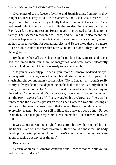Over plates of sushi, Reece's favorite, and Spanish tapas, Cameron's, they caught up. It was easy to talk with Cameron, and Reece was surprised—or maybe not—by how much they actually had in common. It also seemed Reece had heard right. Cameron had been in Baltimore, deciding to come back to the Bay Area for the same reasons Reece stayed—he wanted to be close to his family. That seemed reasonable to Reece, and he liked it. It also meant that whatever happened with the job, Cameron was likely to stick around, even if he had to keep looking for something else, and Reece liked that even more. But he didn't want to discuss that now, so he left it alone—they didn't need the negativity.

By the time the staff were closing up the outdoor bar, Cameron and Reece had consumed their fair share of margaritas, and were rather pleasantly buzzed. And neither of them was ready to say good night.

"Do you have a really plush bed in your room?" Cameron widened his eyes at the question, causing Reece to chuckle and bring a finger to his lips as if to shush himself, continuing in a softer voice. "No… I meant, my room is really comfy. I always decide that depending on the bed. If the bed's comfy then the room, by association, is too." Reece seemed to consider what he was saying then added, "Maybe you don't… you know, have a comfy room like mine. I am the *front-runner* after all." Reece waggled his eyebrows as if he was the funniest and the cleverest person on the planet. Cameron was still looking at him as if he was mad—at least that's what Reece thought Cameron's expression meant—but he was still smiling, and that was a good thing. "Forget I said that. Let's just go to my room. Decision made." Reece turned, ready to walk.

It was Cameron running a light finger across his jaw that stopped him in his tracks. Even with the close proximity, Reece could almost feel his body bending in an attempt to get closer. "I'll *walk* you to your room, not too sure about checking out any beds though."

Reece pouted.

"You're adorable," Cameron continued and Reece swooned, "but you've had too much to drink."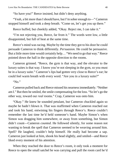"So have you!" Reece insisted, but didn't deny anything.

"Yeah, a bit more than I should have, but I'm sober enough to—" Cameron stopped himself and took a deep breath. "Come on, let's get you up there."

Reece huffed, but cheekily added, "Okay. Reject me, I can take it."

"I'm not rejecting you, Reece, far from it." The words were low, a little disappointed, but full of heat at the same time.

Reece's mind was racing. Maybe by the time they got to his door he could persuade Cameron to think differently. *Persuasion.* He could be persuasive. But a little more time would certainly help… "We need to go that way." Reece pointed down the hall in the opposite direction to the rooms.

Cameron grinned. "Reece, the gym is that way, and the elevator to the luxury suites is that way. I know you're not sleeping in the gym, so you must be in a luxury suite." Cameron's lips had gotten very close to Reece's ear; he could feel warm breath with every word. "Are you in a luxury suite?"

"No."

Cameron pulled back and Reece missed his nearnessimmediately. "Neither am I." But then he smiled, the smile compensating for the loss. "So let's go the other way, toward our *real* rooms." Crap, Cameron was onto him.

"Okay." He knew he sounded petulant, but Cameron chuckled again so maybe he hadn't blown it. That was reaffirmed when Cameron reached out and took his hand, entwining his fingers through Reece's. Reece couldn't remember the last time he'd held someone's hand. Maybe Simon's when Simon was dragging him somewhere, or away from something, but Simon didn't count—Cameron *counted*. He followed silently, for some reason not wanting to break the spell that Cameron seemed to be weaving around him. Spell? He laughed, couldn't help himself. He really had become a sap. Cameron just looked at him, shook his head slightly, and smiled—and Reece liked every moment of his attention.

When they reached the door to Reece's room, it only took a moment for Reece to open the small satchel he was carrying and pull the room card he'd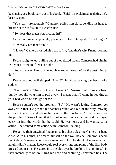been using as a bookmark out of his book. "Shit!" he exclaimed, realizing he'd lost his spot.

"You really are adorable." Cameron pulled him close, bending his head to breathe at the soft skin of Reece's neck.

"So, does that mean you'll come in?"

Cameron took a deep inhale, pausing as if to contemplate. "Not tonight."

"I'm really not that drunk."

"I know," Cameron kissed his neck softly, "and that's why I'm not coming in."

Reece straightened, pulling out of the relaxed slouch Cameron had him in. "So you'd come in *if* I was drunk?"

"Put it this way, I'm sober enough to know it wouldn't be the best thing to do."

Reece recoiled as if slapped. "Ouch!" He felt surprisingly sober all of a sudden.

"That's—Shit. That's not what I meant." Cameron held Reece's hand tightly, not allowing him to pull away. "I meant that if I come in, looking at your bed won't be enough for me—"

Reece couldn't see the problem. "So?" He wasn't letting Cameron get away with that. He pushed his satchel around and out of the way, moving closer to Cameron and edging him against the doorframe. "I really don't see the problem." Reece knew that his voice was low, seductive, and he played every bit into the words that he could. He was horny and he wanted some action—he wanted some action with Cameron Fielding.

He pulled their entwined fingers up to his chest, clasping Cameron's hand close. With his other, he braced himself on the wall beside Cameron's head, bracketing Cameron's body as close as he could. The slight difference in their heights didn't matter; Reece could feel every ridge and plane of the firm body pressed against his. He stared into the blue eyes before him, losing himself in their intense gaze before tilting his head and capturing Cameron's lips. The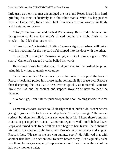little gasp as their lips met encouraged the kiss, and Reece kissed him hard, grinding his torso seductively into the other man's. With his leg pushed between Cameron's, Reece could feel Cameron's erection against his thigh, and he started to rock—

"Stop," Cameron said and pushed Reece away. Reece didn't believe him though—he could see Cameron's dilated pupils, the slight flush to his cheeks… he'd felt that hard cock.

"Come inside," he insisted. Holding Cameron tight by the hand still linked with his, reaching for the keycard he'd slipped into the door with the other.

"I can't. Not tonight." Cameron wriggled out of Reece's grasp. "I'm sorry." Cameron's ragged breaths belied his words.

Reece wasn't sure he understood. "But you want to," he pushed the point, using his low tone to gently encourage.

"You have no idea." Cameron surprised him when he gripped the back of Reece's neck and pulled him close again, letting his lips graze over Reece's then deepening the kiss. But it was over as quickly as it started. Cameron broke the kiss, and the contact, and stepped away. "You have no idea," he repeated.

"So don't go, Cam." Reece pushed open the door, holding it wide. "Come in."

Cameron was torn, Reece could clearly see that, but it didn't seem he was going to give in. He took another step back. "I really must go." He was so serious, but then he smiled; it was shy, even hopeful. "I hope there's another chance to get together, Reece." Cameron began to walk, took half a dozen steps, and turned back. Reece felt his heart begin to beat faster—he'd changed his mind. He stepped right back into Reece's personal space and cupped Reece's face. "Please let me see you again… soon." He followed that with another firm kiss. The action took Reece's breath away. But as quickly as he was there, he was gone again, disappearing around the corner at the end of the hall only moments later.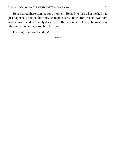Reece stood there stunned for a moment. He had no idea what the hell had just happened, not that his body seemed to care. His traitorous cock was hard and aching… and extremely dissatisfied. Reece shook his head, blinking away his confusion, and walked into his room.

Fucking Cameron Fielding!

\*\*\*\*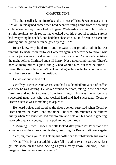### CHAPTER NINE

<span id="page-51-0"></span>The phone call asking him to be at the offices of Price & Associates at nine AM on Thursday had come when he'd been returning home from the country club on Wednesday. Reece hadn't lingered Wednesday morning. He'd ordered a light breakfast to his room, had checked over his proposal to make sure he had everything he needed, and had then checked out. He'd been in his car and driving out the grand entrance gates by eight AM.

Reece knew why he'd run—and he wasn't too proud to admit he was running. He hadn't wanted to see Cameron again, not before he found out who won the job anyway. He'd woken up still confused about Cameron's decisions the night before. Confused and still horny. Not a good combination. There'd been so many mixed signals; the guy had wanted him, but then he didn't... Jesus! Reece knew he couldn't deal with it again before he found out whether he'd been successful for the position.

He was about to find out.

Geoffrey Price's executive assistant had just handed him a cup of coffee, and now he was waiting. He looked around the room, taking in the rich wood furniture and opulent colors of the furnishings. This was the office of a successful man, one who had worked hard and had succeeded. Geoffrey Price's success was something to aspire to.

He heard voices and stood as the door opened, surprised when Geoffrey Price entered the room—and not alone. Shocked into muteness, he faltered briefly when Mr. Price walked over to him and held out his hand in greeting, recovering quickly enough, he hoped, to not seem rude.

"'Morning, Reece. I hope Charlotte looked after you?" Mr. Price stood for a moment and then moved to his desk, gesturing for Reece to sit down again.

"Yes, sir, thank you." He held up his coffee cup to substantiate his words.

"Okay," Mr. Price started, his voice full of authority as he sat down, "let's get this show on the road. Seeing as you already know Cameron, I don't imagine introductions are necessary."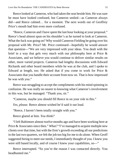Reece looked at Cameron, who had taken the seat beside him. He was sure he must have looked confused, but Cameron smiled—as Cameron always did—and Reece calmed… for a moment. The next words out of Geoffrey Price's mouth had him even more confused.

"Reece, Cameron and I have spent the last hour looking at your proposal." Reece's head almost spun on his shoulder's as he turned to look at Cameron. What the fuck was going on? Why would Cameron Fielding be going over his proposal with Mr. Price? Mr. Price continued—hopefully he would answer that question—"We are very impressed with your ideas. You dealt with the brief in a way that gels very much with our philosophy here at Price  $\&$ Associates, and we believe you would continue to deliver similar results on other, more varied projects. Cameron had lengthy discussions with Edward Richards and other board members while he was at the club, and I spoke to Edward at length, too. He asked that if you come to work for Price  $\&$ Associates that you handle their account from now on. That is how impressed he was with you."

Reece was struggling to accept the compliments with his mind spinning in confusion. He was really no nearer to knowing what Cameron's involvement in this was, but he managed. "Thank you, sir."

"Cameron, maybe you should fill Reece in on your role in this."

*Yes, please.* Reece almost wished he'd said it out loud.

"Reece, I haven't been totally straight with you."

Reece glared at him. *You think?*

"I left Baltimore almost twelve months ago and have been working here at Price & Associates since then." *What?* "I've managed to acquire multiple new clients over that time, but with the firm's growth exceeding all our predictions in the last two quarters, we felt the job too big for me to do alone. When Geoff suggested hiring to meet our needs, I immediately thought of you. I knew you were still based locally, and of course I knew your capabilities, so—"

Reece interrupted. "So you're the reason I was contacted directly. You headhunted me."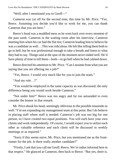"Well, after I mentioned you to Geoff—"

Cameron was cut off for the second time, this time by Mr. Price. "Yes, Reece. Assuming you decide you'd like to work for me, you can thank Cameron that you are here."

Reece's head was a muddled mess as he went back over every moment of the past week. Cameron in the waiting room after his interview; Cameron meeting him when his car had the flat tire; Cameron leading him to believe he was a candidate as well... This was ridiculous. He felt like telling them both to go to hell, but he was professional enough to take a breath and listen to what they had to say. Things said at the spur of the moment never ended well. He'd have plenty of time to tell them—both—to go hell when he had calmed down.

Reece directed his attention to Mr. Price. "Can I assume fromwhat you are saying that you are offering me a job?"

"Yes, Reece. I would very much like for you to join the team."

"And my role…?"

"You would be employed in the same capacity as was discussed, the only difference being you would work beside Cameron."

"Not under him?" Reece was too angry and far too astounded to even consider the humor in that remark.

Mr. Price shook his head, seemingly oblivious to the possible innuendo as well. "I'm not expanding my management team at this point. But I do believe in placing staff where staff is needed. Cameron's job was too big for one person, so I have created two equal positions. You will each have your own clients and work independently. Of course, I would expect you to utilize each other as valuable reference and each client will be discussed in weekly meetings or as required."

"Sorry if this seems naive, Mr. Price, but you mentioned me as the frontrunner for the job. Is there really another candidate?"

"Firstly, I ask that you call me Geoff, Reece. We're rather informal here in that respect." He glanced at Cameron, then back to Reece. "But yes, there is.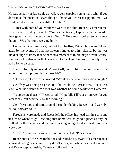He was actually at Riverdale as well. A very capable young man, who, if you don't take the position—even though I hope you won't disappoint me—we would contact to see if he's still interested."

"I met with both of you while we were at the club, Reece." Cameron met Reece's narrowed eyes evenly. "And as mentioned, I spoke with the board. I then gave my recommendation to Geoff." He almost looked sorry, Reece thought. Was that for deceiving him?

He had a lot of questions, but not for Geoffrey Price. He was too blown away by the events of that last fifteen minutes to think clearly, but he was lucid enough to know that he needed a moment to think, maybe even twentyfour hours. He also knew that he needed to speak to Cameron, privately. They had a lot to discuss.

"I am definitely interested, Mr.—Geoff, but I'd like to request some time to consider my options. Is that possible?"

"Of course," Geoffrey answered. "Would twenty-four hours be enough?"

Geoffrey was being so gracious—he would be a great boss, Reece was sure. What he wasn't sure about was whether he could work with Cameron.

"I appreciate that, sir." Reece stood. "Hopefully I'll have an answer for you later today, but definitely by the morning."

Geoffrey stood and came around the table, shaking Reece's hand warmly. "I look forward to it."

Farewells were made and Reece left the office, his head still in a spin and unsure of where to go. Deciding that home was as good a place as any, he walked for the elevator and the same parking garage he'd stormed into just a week ago.

"Reece." Cameron's voice was not unexpected. "Please wait."

Reece pressed the elevator button and waited, very aware of Cameron once he was standing beside him. They didn't speak, and when the elevator arrived and Reece stepped inside, Cameron followed him in.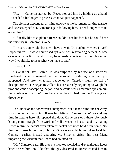"Ree—" Cameron started, but Reece stopped him by holding up a hand. He needed a bit longer to process what had just happened.

The elevator descended, arriving quickly at the basement parking garage, and Reece stepped out, Cameron again following him. "I need longer to think about this."

"I'd really like to explain." Reece couldn't see his face but he could hear the sincerity in Cameron's voice.

"I'm sure you would, but it will have to wait. Do you know where I live?" Expecting yes, he wasn't surprised by Cameron's reserved agreement. "Come over when you finish work. I may have made a decision by then, but either way I would like to hear what you have to say."

"Reece, I…"

"Save it for later, Cam." He was surprised by his use of Cameron's shortened name; it seemed far too personal considering what had just happened. And after what had happened on Tuesday night, so full of disappointment. He began to walk to his car, already beginning to weigh the pros and cons of accepting the job, and he could feel Cameron's eyes on him the whole way. He didn't look back when he climbed into the Mustang and drove away.

\*\*\*\*

The knock on the door wasn't unexpected, but it made him flinch anyway. Reece looked at his watch. It was five fifteen; Cameron hadn't wasted any time in getting here. He opened the door. Cameron stood there, obviously having come straight from work and still dressed in his suit and tie, making Reece realize he hadn't even taken his jacket off since he'd been home. Not that he'd been home long. He hadn't gone straight home when he'd left Cameron earlier, instead detouring via Simon's office—his best friend imparting the wisdom that Reece had counted on.

"Hi," Cameron said. His blue eyeslooked worried, and even though Reece hated to see him look like that, the guy deserved it. Reece invited him in,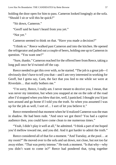holding the door open for him to pass. Cameron looked longingly at the sofa. "Should I sit or will this be quick?"

"Sit down, Cameron."

"Geoff said he hasn't heard from you yet."

"Not yet."

Cameron seemed to think on that. "Have you made a decision?"

"I think so." Reece walked past Cameron and into the kitchen. He opened the refrigerator and pulled out a couple of beers, holding one up to Cameron in question. "You want one?"

"Sure, thanks." Cameron reached for the offered beer fromReece, taking a long pull once he'd twisted off the cap.

Reece needed to get this over with, so he started. "The job is a great job—I obviously don't have to tell you that—and I am very interested in working for Geoff, but I gotta say, Cam, the fact that you lied to me while we were at Riverdale… that really bothers me."

"I'm sorry, Reece, I really am. I never meant to deceive you, I mean, that was never my intention, but when you snapped at me on the side of the road after I'd stopped when you blew that tire, well, I panicked. I thought you'd just turn around and go home if I told you the truth. So when you assumed I was up for the job as well, I sort of… I sort of let you believe it."

Reece remembered that moment when he'd realized Cameron wasthe man in shadow. He had been rude. "And once we got there? You had a captive audience then, you could have come clean to me numerous times."

"Yeah, I didn't play it well at all," he admitted. "I think a part of me hoped you'd mellow toward me, and you did. And it got harder to admit the truth."

Reece considered all of that for a moment. "And Tuesday, at the pool… at my room?" He moved over to the sofa and sat down, not close, but not too far away either. "That was pretty intense." He took a moment. "Is that why—why you didn't want to come in?" Reece had pondered that, tying together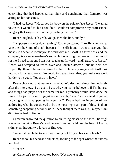everything that had happened that night and concluding that Cameron was acting on his conscious.

"I had to, Reece." He turned his body on the sofa to face Reece. "I wanted to, Jesus, I wanted to, but I couldn't. I couldn't compromise my professional integrity that way—I was already pushing the line."

Reece laughed. "Oh yeah, you pushed the line, buddy."

"I suppose it comes down to this," Cameron started. "I really want you to take the job. Some of that's because I'm selfish and I want to see you, but mostly it's because I want you to work with me. Geoff is a great boss, and the company is awesome—there's so much scope for growth—but it's too much for me. I need someone I can trust to take us forward—and I trust you, Reece." Reece was tempted to reach over and touch Cameron, but he held off. Hopefully, there'd be another time for that. "I honestly suggested Geoff look into you for a reason—you're good. And apart from that, you make me work harder to be good. You always have."

Reece chuckled, that was exactly what he'd decided, almost immediately after the interview. "I do get it. I get why you let me believe it. If I'm honest, and things had played out the same for me, I probably would have done the same. The job isn't our biggest issue though, Cam. Can we work together knowing what's happening between us?" Reece had no intention of not addressing what he considered to be the most important part of this. "Is there something happening between us?" Reece thought there was, but maybe Cam didn't—he had to find out.

Cameron answered the question by shuffling closer on the sofa. His thigh was now touching Reece's, and he was sure he could feel the heat of Cam's skin, even through two layers of fine wool.

"Would it be cliché to say I was pretty hot for you back in school?"

Reece shook his head and chuckled, looking to the spot where their knees touched.

"Reece?"

At Cameron's tone he looked back. "Not cliché at all."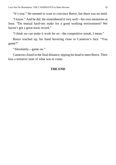"It's true." He seemed to want to convince Reece, but there was no need.

"I know." And he did. He remembered it very well—his own memories at least. "Do mutual hard-ons make for a good working environment? We haven't got a great track record."

"I think we can make it work for us—the competitive streak, I mean."

Reece reached up, his hand hovering close to Cameron's face. "You game?"

"Absolutely—game on."

Cameron closed in the final distance, tipping his head to meet Reece. Their kiss a tentative taste of what was to come.

## **THE END**